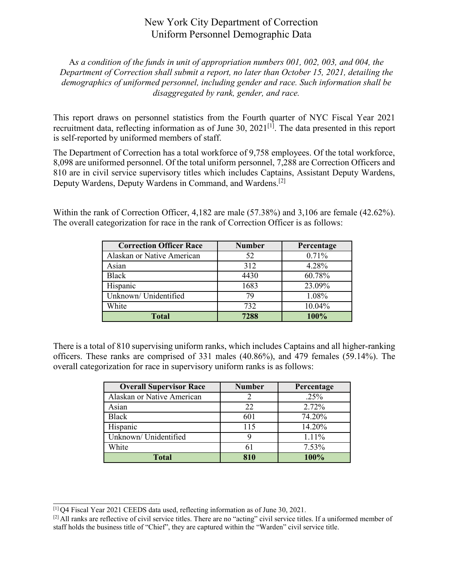## New York City Department of Correction Uniform Personnel Demographic Data

A*s a condition of the funds in unit of appropriation numbers 001, 002, 003, and 004, the Department of Correction shall submit a report, no later than October 15, 2021, detailing the demographics of uniformed personnel, including gender and race. Such information shall be disaggregated by rank, gender, and race.*

This report draws on personnel statistics from the Fourth quarter of NYC Fiscal Year 2021 recruitment data, reflecting information as of June 30, 2021<sup>[1]</sup>. The data presented in this report is self-reported by uniformed members of staff.

The Department of Correction has a total workforce of 9,758 employees. Of the total workforce, 8,098 are uniformed personnel. Of the total uniform personnel, 7,288 are Correction Officers and 810 are in civil service supervisory titles which includes Captains, Assistant Deputy Wardens, Deputy Wardens, Deputy Wardens in Command, and Wardens.[2]

Within the rank of Correction Officer, 4,182 are male (57.38%) and 3,106 are female (42.62%). The overall categorization for race in the rank of Correction Officer is as follows:

| <b>Correction Officer Race</b> | <b>Number</b> | Percentage |
|--------------------------------|---------------|------------|
| Alaskan or Native American     | 52            | 0.71%      |
| Asian                          | 312           | 4.28%      |
| <b>Black</b>                   | 4430          | 60.78%     |
| Hispanic                       | 1683          | 23.09%     |
| Unknown/ Unidentified          | 79            | 1.08%      |
| White                          | 732           | 10.04%     |
| <b>Total</b>                   | 7288          | 100%       |

There is a total of 810 supervising uniform ranks, which includes Captains and all higher-ranking officers. These ranks are comprised of 331 males (40.86%), and 479 females (59.14%). The overall categorization for race in supervisory uniform ranks is as follows:

| <b>Overall Supervisor Race</b> | <b>Number</b> | Percentage |
|--------------------------------|---------------|------------|
| Alaskan or Native American     |               | $.25\%$    |
| Asian                          | 22            | 2.72%      |
| Black                          | 601           | 74.20%     |
| Hispanic                       | 115           | 14.20%     |
| Unknown/ Unidentified          |               | 1.11%      |
| White                          | 61            | 7.53%      |
| Total                          | 810           | 100%       |

<sup>[1]</sup> Q4 Fiscal Year 2021 CEEDS data used, reflecting information as of June 30, 2021.

 $[2]$  All ranks are reflective of civil service titles. There are no "acting" civil service titles. If a uniformed member of staff holds the business title of "Chief", they are captured within the "Warden" civil service title.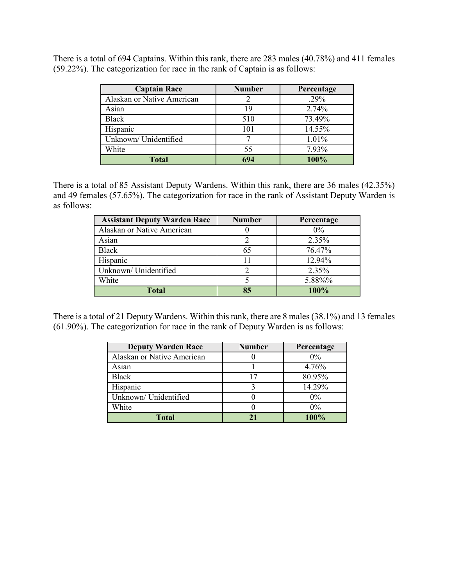There is a total of 694 Captains. Within this rank, there are 283 males (40.78%) and 411 females (59.22%). The categorization for race in the rank of Captain is as follows:

| <b>Captain Race</b>        | <b>Number</b> | Percentage |
|----------------------------|---------------|------------|
| Alaskan or Native American |               | $.29\%$    |
| Asian                      | 19            | 2.74%      |
| <b>Black</b>               | 510           | 73.49%     |
| Hispanic                   | 101           | 14.55%     |
| Unknown/ Unidentified      |               | 1.01%      |
| White                      | 55            | 7.93%      |
| <b>Total</b>               | 694           | 100%       |

There is a total of 85 Assistant Deputy Wardens. Within this rank, there are 36 males (42.35%) and 49 females (57.65%). The categorization for race in the rank of Assistant Deputy Warden is as follows:

| <b>Assistant Deputy Warden Race</b> | <b>Number</b> | Percentage |
|-------------------------------------|---------------|------------|
| Alaskan or Native American          |               | $0\%$      |
| Asian                               |               | 2.35%      |
| <b>Black</b>                        | 65            | 76.47%     |
| Hispanic                            |               | 12.94%     |
| Unknown/ Unidentified               |               | 2.35%      |
| White                               |               | 5.88%%     |
| <b>Total</b>                        | 85            | 100%       |

There is a total of 21 Deputy Wardens. Within this rank, there are 8 males (38.1%) and 13 females (61.90%). The categorization for race in the rank of Deputy Warden is as follows:

| <b>Deputy Warden Race</b>  | <b>Number</b> | Percentage |
|----------------------------|---------------|------------|
| Alaskan or Native American |               | $0\%$      |
| Asian                      |               | 4.76%      |
| Black                      | 17            | 80.95%     |
| Hispanic                   |               | 14.29%     |
| Unknown/ Unidentified      |               | $0\%$      |
| White                      |               | $0\%$      |
| Total                      |               | 100%       |